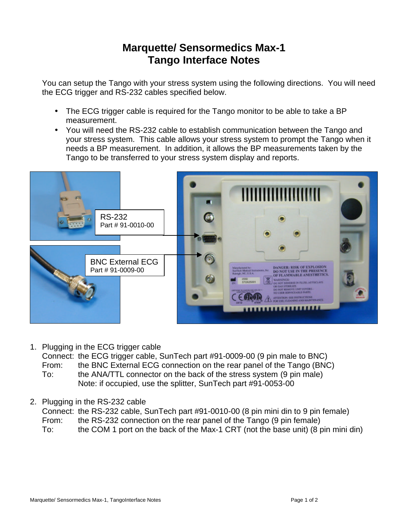## **Marquette/ Sensormedics Max-1 Tango Interface Notes**

You can setup the Tango with your stress system using the following directions. You will need the ECG trigger and RS-232 cables specified below.

- The ECG trigger cable is required for the Tango monitor to be able to take a BP measurement.
- You will need the RS-232 cable to establish communication between the Tango and your stress system. This cable allows your stress system to prompt the Tango when it needs a BP measurement. In addition, it allows the BP measurements taken by the Tango to be transferred to your stress system display and reports.



1. Plugging in the ECG trigger cable

Connect: the ECG trigger cable, SunTech part #91-0009-00 (9 pin male to BNC)

- From: the BNC External ECG connection on the rear panel of the Tango (BNC) To: the ANA/TTL connector on the back of the stress system (9 pin male) Note: if occupied, use the splitter, SunTech part #91-0053-00
- 2. Plugging in the RS-232 cable

Connect: the RS-232 cable, SunTech part #91-0010-00 (8 pin mini din to 9 pin female) From: the RS-232 connection on the rear panel of the Tango (9 pin female) To: the COM 1 port on the back of the Max-1 CRT (not the base unit) (8 pin mini din)